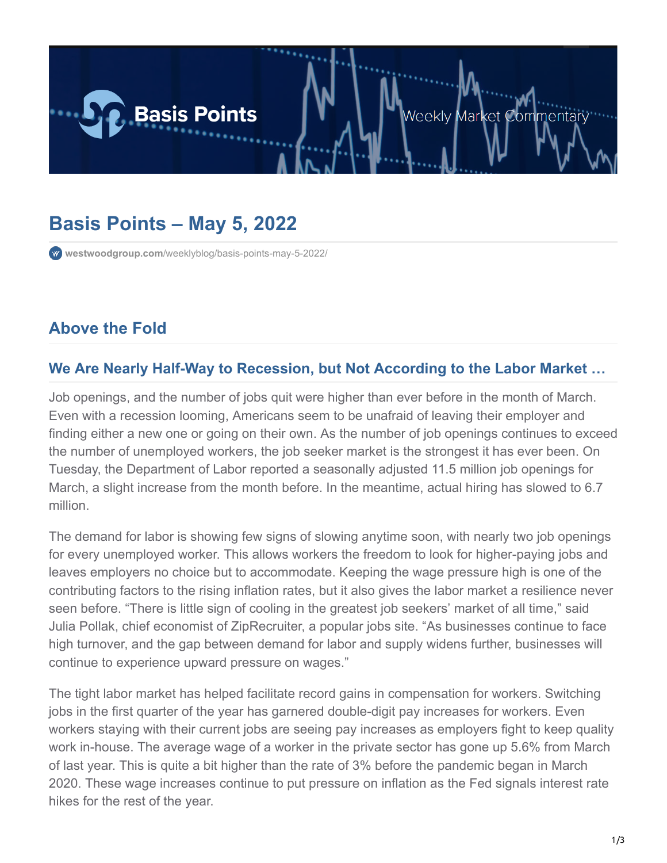

# **Basis Points – May 5, 2022**

**westwoodgroup.com**[/weeklyblog/basis-points-may-5-2022/](https://westwoodgroup.com/weeklyblog/basis-points-may-5-2022/)

# **Above the Fold**

#### **We Are Nearly Half-Way to Recession, but Not According to the Labor Market …**

Job openings, and the number of jobs quit were higher than ever before in the month of March. Even with a recession looming, Americans seem to be unafraid of leaving their employer and finding either a new one or going on their own. As the number of job openings continues to exceed the number of unemployed workers, the job seeker market is the strongest it has ever been. On Tuesday, the Department of Labor reported a seasonally adjusted 11.5 million job openings for March, a slight increase from the month before. In the meantime, actual hiring has slowed to 6.7 million.

The demand for labor is showing few signs of slowing anytime soon, with nearly two job openings for every unemployed worker. This allows workers the freedom to look for higher-paying jobs and leaves employers no choice but to accommodate. Keeping the wage pressure high is one of the contributing factors to the rising inflation rates, but it also gives the labor market a resilience never seen before. "There is little sign of cooling in the greatest job seekers' market of all time," said Julia Pollak, chief economist of ZipRecruiter, a popular jobs site. "As businesses continue to face high turnover, and the gap between demand for labor and supply widens further, businesses will continue to experience upward pressure on wages."

The tight labor market has helped facilitate record gains in compensation for workers. Switching jobs in the first quarter of the year has garnered double-digit pay increases for workers. Even workers staying with their current jobs are seeing pay increases as employers fight to keep quality work in-house. The average wage of a worker in the private sector has gone up 5.6% from March of last year. This is quite a bit higher than the rate of 3% before the pandemic began in March 2020. These wage increases continue to put pressure on inflation as the Fed signals interest rate hikes for the rest of the year.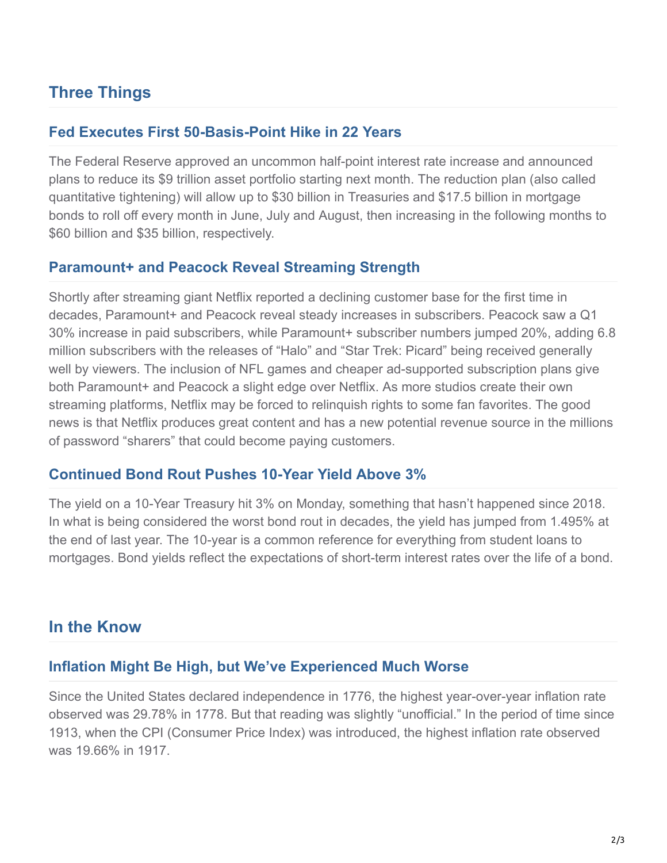# **Three Things**

#### **Fed Executes First 50-Basis-Point Hike in 22 Years**

The Federal Reserve approved an uncommon half-point interest rate increase and announced plans to reduce its \$9 trillion asset portfolio starting next month. The reduction plan (also called quantitative tightening) will allow up to \$30 billion in Treasuries and \$17.5 billion in mortgage bonds to roll off every month in June, July and August, then increasing in the following months to \$60 billion and \$35 billion, respectively.

#### **Paramount+ and Peacock Reveal Streaming Strength**

Shortly after streaming giant Netflix reported a declining customer base for the first time in decades, Paramount+ and Peacock reveal steady increases in subscribers. Peacock saw a Q1 30% increase in paid subscribers, while Paramount+ subscriber numbers jumped 20%, adding 6.8 million subscribers with the releases of "Halo" and "Star Trek: Picard" being received generally well by viewers. The inclusion of NFL games and cheaper ad-supported subscription plans give both Paramount+ and Peacock a slight edge over Netflix. As more studios create their own streaming platforms, Netflix may be forced to relinquish rights to some fan favorites. The good news is that Netflix produces great content and has a new potential revenue source in the millions of password "sharers" that could become paying customers.

### **Continued Bond Rout Pushes 10-Year Yield Above 3%**

The yield on a 10-Year Treasury hit 3% on Monday, something that hasn't happened since 2018. In what is being considered the worst bond rout in decades, the yield has jumped from 1.495% at the end of last year. The 10-year is a common reference for everything from student loans to mortgages. Bond yields reflect the expectations of short-term interest rates over the life of a bond.

## **In the Know**

### **Inflation Might Be High, but We've Experienced Much Worse**

Since the United States declared independence in 1776, the highest year-over-year inflation rate observed was 29.78% in 1778. But that reading was slightly "unofficial." In the period of time since 1913, when the CPI (Consumer Price Index) was introduced, the highest inflation rate observed was 19.66% in 1917.